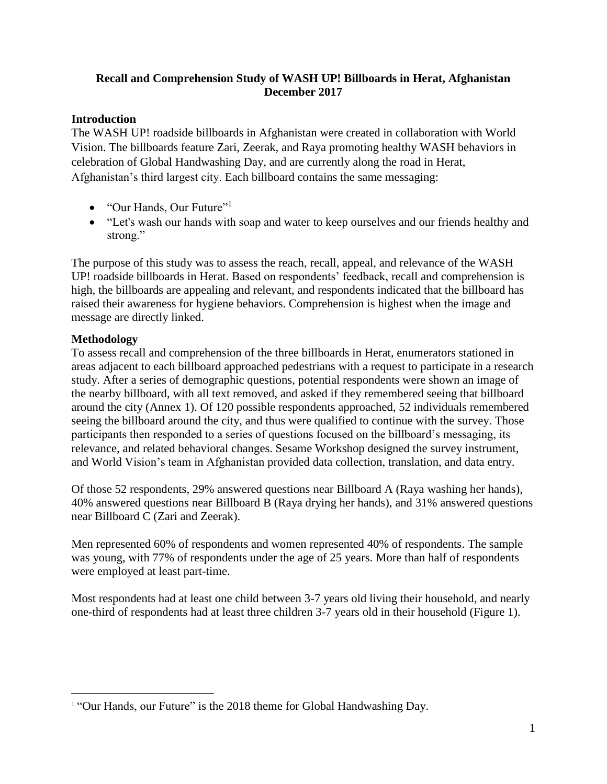#### **Recall and Comprehension Study of WASH UP! Billboards in Herat, Afghanistan December 2017**

#### **Introduction**

The WASH UP! roadside billboards in Afghanistan were created in collaboration with World Vision. The billboards feature Zari, Zeerak, and Raya promoting healthy WASH behaviors in celebration of Global Handwashing Day, and are currently along the road in Herat, Afghanistan's third largest city. Each billboard contains the same messaging:

- "Our Hands, Our Future"<sup>1</sup>
- "Let's wash our hands with soap and water to keep ourselves and our friends healthy and strong."

The purpose of this study was to assess the reach, recall, appeal, and relevance of the WASH UP! roadside billboards in Herat. Based on respondents' feedback, recall and comprehension is high, the billboards are appealing and relevant, and respondents indicated that the billboard has raised their awareness for hygiene behaviors. Comprehension is highest when the image and message are directly linked.

## **Methodology**

 $\overline{a}$ 

To assess recall and comprehension of the three billboards in Herat, enumerators stationed in areas adjacent to each billboard approached pedestrians with a request to participate in a research study. After a series of demographic questions, potential respondents were shown an image of the nearby billboard, with all text removed, and asked if they remembered seeing that billboard around the city (Annex 1). Of 120 possible respondents approached, 52 individuals remembered seeing the billboard around the city, and thus were qualified to continue with the survey. Those participants then responded to a series of questions focused on the billboard's messaging, its relevance, and related behavioral changes. Sesame Workshop designed the survey instrument, and World Vision's team in Afghanistan provided data collection, translation, and data entry.

Of those 52 respondents, 29% answered questions near Billboard A (Raya washing her hands), 40% answered questions near Billboard B (Raya drying her hands), and 31% answered questions near Billboard C (Zari and Zeerak).

Men represented 60% of respondents and women represented 40% of respondents. The sample was young, with 77% of respondents under the age of 25 years. More than half of respondents were employed at least part-time.

Most respondents had at least one child between 3-7 years old living their household, and nearly one-third of respondents had at least three children 3-7 years old in their household (Figure 1).

<sup>&</sup>lt;sup>1</sup> "Our Hands, our Future" is the 2018 theme for Global Handwashing Day.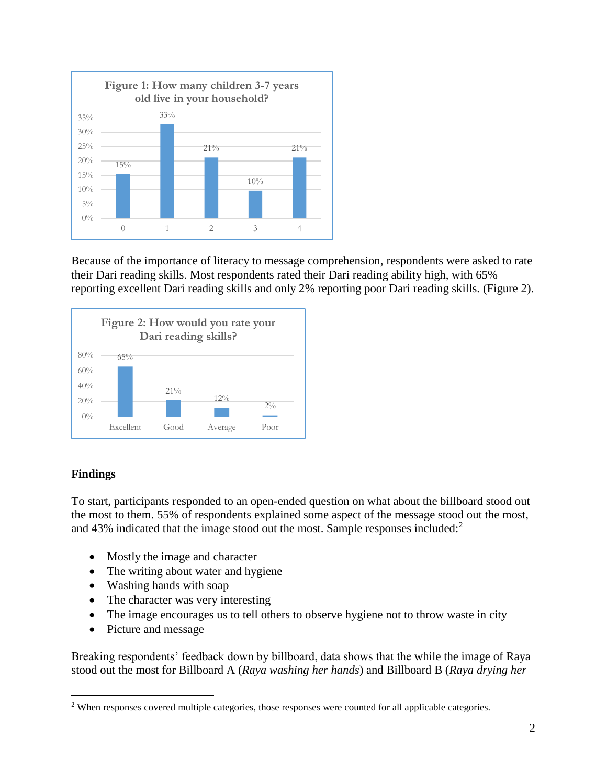

Because of the importance of literacy to message comprehension, respondents were asked to rate their Dari reading skills. Most respondents rated their Dari reading ability high, with 65% reporting excellent Dari reading skills and only 2% reporting poor Dari reading skills. (Figure 2).



#### **Findings**

 $\overline{a}$ 

To start, participants responded to an open-ended question on what about the billboard stood out the most to them. 55% of respondents explained some aspect of the message stood out the most, and 43% indicated that the image stood out the most. Sample responses included: $2^2$ 

- Mostly the image and character
- The writing about water and hygiene
- Washing hands with soap
- The character was very interesting
- The image encourages us to tell others to observe hygiene not to throw waste in city
- Picture and message

Breaking respondents' feedback down by billboard, data shows that the while the image of Raya stood out the most for Billboard A (*Raya washing her hands*) and Billboard B (*Raya drying her* 

<sup>2</sup> When responses covered multiple categories, those responses were counted for all applicable categories.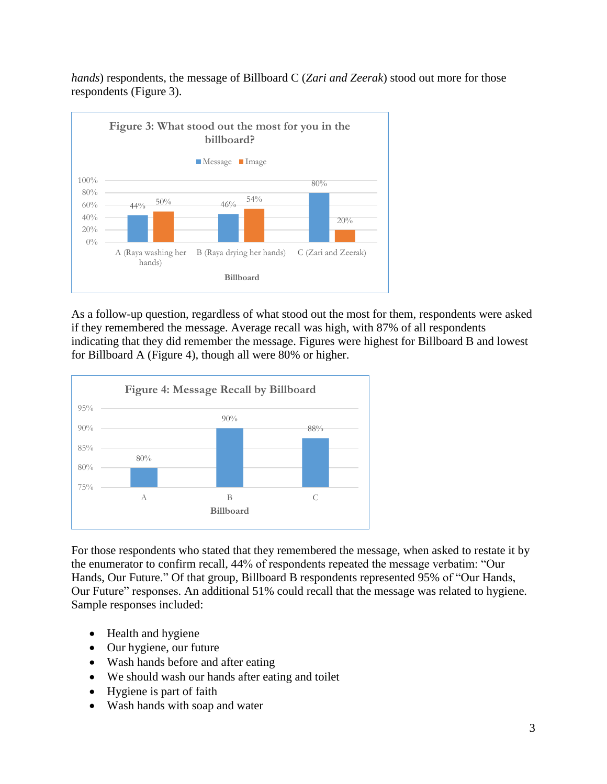*hands*) respondents, the message of Billboard C (*Zari and Zeerak*) stood out more for those respondents (Figure 3).



As a follow-up question, regardless of what stood out the most for them, respondents were asked if they remembered the message. Average recall was high, with 87% of all respondents indicating that they did remember the message. Figures were highest for Billboard B and lowest for Billboard A (Figure 4), though all were 80% or higher.



For those respondents who stated that they remembered the message, when asked to restate it by the enumerator to confirm recall, 44% of respondents repeated the message verbatim: "Our Hands, Our Future." Of that group, Billboard B respondents represented 95% of "Our Hands, Our Future" responses. An additional 51% could recall that the message was related to hygiene. Sample responses included:

- Health and hygiene
- Our hygiene, our future
- Wash hands before and after eating
- We should wash our hands after eating and toilet
- Hygiene is part of faith
- Wash hands with soap and water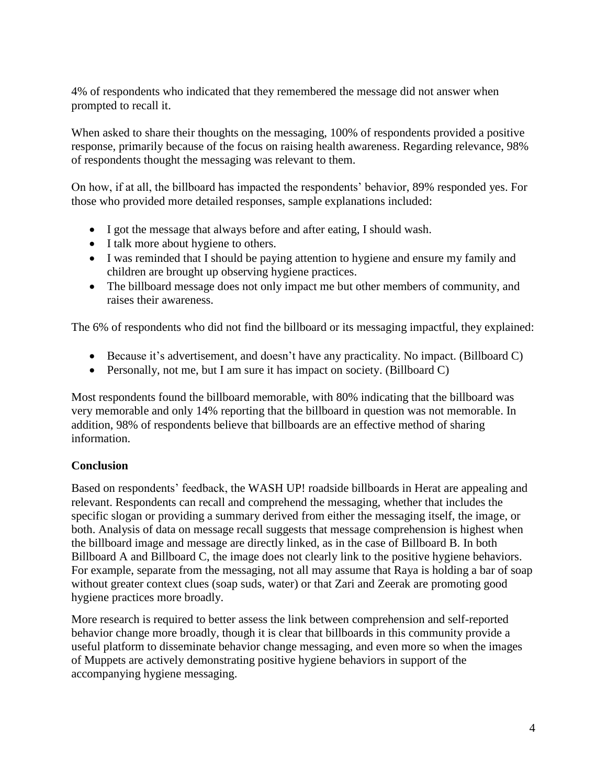4% of respondents who indicated that they remembered the message did not answer when prompted to recall it.

When asked to share their thoughts on the messaging, 100% of respondents provided a positive response, primarily because of the focus on raising health awareness. Regarding relevance, 98% of respondents thought the messaging was relevant to them.

On how, if at all, the billboard has impacted the respondents' behavior, 89% responded yes. For those who provided more detailed responses, sample explanations included:

- I got the message that always before and after eating, I should wash.
- I talk more about hygiene to others.
- I was reminded that I should be paying attention to hygiene and ensure my family and children are brought up observing hygiene practices.
- The billboard message does not only impact me but other members of community, and raises their awareness.

The 6% of respondents who did not find the billboard or its messaging impactful, they explained:

- Because it's advertisement, and doesn't have any practicality. No impact. (Billboard C)
- Personally, not me, but I am sure it has impact on society. (Billboard C)

Most respondents found the billboard memorable, with 80% indicating that the billboard was very memorable and only 14% reporting that the billboard in question was not memorable. In addition, 98% of respondents believe that billboards are an effective method of sharing information.

#### **Conclusion**

Based on respondents' feedback, the WASH UP! roadside billboards in Herat are appealing and relevant. Respondents can recall and comprehend the messaging, whether that includes the specific slogan or providing a summary derived from either the messaging itself, the image, or both. Analysis of data on message recall suggests that message comprehension is highest when the billboard image and message are directly linked, as in the case of Billboard B. In both Billboard A and Billboard C, the image does not clearly link to the positive hygiene behaviors. For example, separate from the messaging, not all may assume that Raya is holding a bar of soap without greater context clues (soap suds, water) or that Zari and Zeerak are promoting good hygiene practices more broadly.

More research is required to better assess the link between comprehension and self-reported behavior change more broadly, though it is clear that billboards in this community provide a useful platform to disseminate behavior change messaging, and even more so when the images of Muppets are actively demonstrating positive hygiene behaviors in support of the accompanying hygiene messaging.